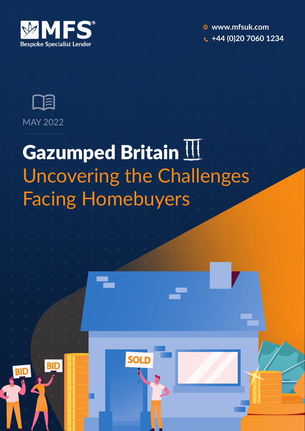

**www.mfsuk.com +44 (0)20 7060 1234**



## Gazumped Britain II Uncovering the Challenges Facing Homebuyers



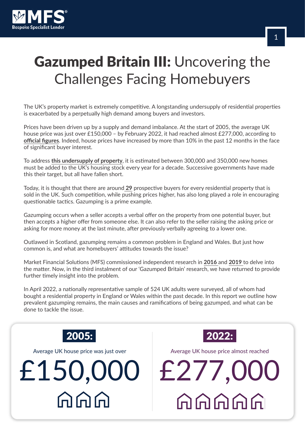

## Gazumped Britain III: Uncovering the Challenges Facing Homebuyers

The UK's property market is extremely competitive. A longstanding undersupply of residential properties is exacerbated by a perpetually high demand among buyers and investors.

Prices have been driven up by a supply and demand imbalance. At the start of 2005, the average UK house price was just over £150,000 – by February 2022, it had reached almost £277,000, according to **official figures**. Indeed, house prices have increased by more than 10% in the past 12 months in the face of significant buyer interest.

To address **this undersupply of property**, it is estimated between 300,000 and 350,000 new homes must be added to the UK's housing stock every year for a decade. Successive governments have made this their target, but all have fallen short.

Today, it is thought that there are around **29** prospective buyers for every residential property that is sold in the UK. Such competition, while pushing prices higher, has also long played a role in encouraging questionable tactics. Gazumping is a prime example.

Gazumping occurs when a seller accepts a verbal offer on the property from one potential buyer, but then accepts a higher offer from someone else. It can also refer to the seller raising the asking price or asking for more money at the last minute, after previously verbally agreeing to a lower one.

Outlawed in Scotland, gazumping remains a common problem in England and Wales. But just how common is, and what are homebuyers' attitudes towards the issue?

Market Financial Solutions (MFS) commissioned independent research in **2016** and **2019** to delve into the matter. Now, in the third instalment of our 'Gazumped Britain' research, we have returned to provide further timely insight into the problem.

In April 2022, a nationally representative sample of 524 UK adults were surveyed, all of whom had bought a residential property in England or Wales within the past decade. In this report we outline how prevalent gazumping remains, the main causes and ramifications of being gazumped, and what can be done to tackle the issue.



Average UK house price was just over

# £150,000 £277,000  $\bigcirc$   $\bigcirc$   $\bigcirc$



Average UK house price almost reached

**AAAAA**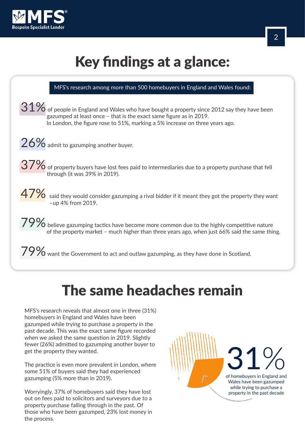

## Key findings at a glance:

| MFS's research among more than 500 homebuyers in England and Wales found:                                                                                                                                                                            |
|------------------------------------------------------------------------------------------------------------------------------------------------------------------------------------------------------------------------------------------------------|
| $31\%$ of people in England and Wales who have bought a property since 2012 say they have been<br>gazumped at least once - that is the exact same figure as in 2019.<br>In London, the figure rose to 51%, marking a 5% increase on three years ago. |
| $26\%$ admit to gazumping another buyer.                                                                                                                                                                                                             |
| $37\%$ of property buyers have lost fees paid to intermediaries due to a property purchase that fell<br>through (it was 39% in 2019).                                                                                                                |
| $\frac{47\%}{ }$ said they would consider gazumping a rival bidder if it meant they got the property they want<br>-up 4% from 2019.                                                                                                                  |
| $\frac{79\%}{0}$ believe gazumping tactics have become more common due to the highly competitive nature<br>of the property market - much higher than three years ago, when just 66% said the same thing.                                             |
| 700/                                                                                                                                                                                                                                                 |

**77 / O** want the Government to act and outlaw gazumping, as they have done in Scotland.

#### The same headaches remain

MFS's research reveals that almost one in three (31%) homebuyers in England and Wales have been gazumped while trying to purchase a property in the past decade. This was the exact same figure recorded when we asked the same question in 2019. Slightly fewer (26%) admitted to gazumping another buyer to get the property they wanted.

The practice is even more prevalent in London, where some 51% of buyers said they had experienced gazumping (5% more than in 2019).

Worryingly, 37% of homebuyers said they have lost out on fees paid to solicitors and surveyors due to a property purchase falling through in the past. Of those who have been gazumped, 23% lost money in the process.

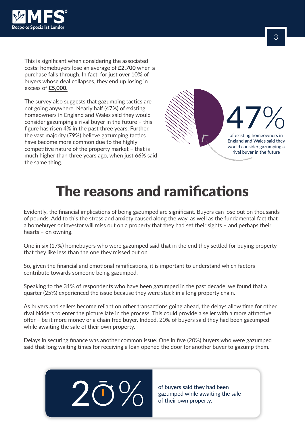

This is significant when considering the associated costs; homebuyers lose an average of **£2,700** when a purchase falls through. In fact, for just over 10% of buyers whose deal collapses, they end up losing in excess of **£5,000.**

The survey also suggests that gazumping tactics are not going anywhere. Nearly half (47%) of existing homeowners in England and Wales said they would consider gazumping a rival buyer in the future – this figure has risen 4% in the past three years. Further, the vast majority (79%) believe gazumping tactics have become more common due to the highly competitive nature of the property market – that is much higher than three years ago, when just 66% said the same thing.



#### The reasons and ramifications

Evidently, the financial implications of being gazumped are significant. Buyers can lose out on thousands of pounds. Add to this the stress and anxiety caused along the way, as well as the fundamental fact that a homebuyer or investor will miss out on a property that they had set their sights – and perhaps their hearts – on owning.

One in six (17%) homebuyers who were gazumped said that in the end they settled for buying property that they like less than the one they missed out on.

So, given the financial and emotional ramifications, it is important to understand which factors contribute towards someone being gazumped.

Speaking to the 31% of respondents who have been gazumped in the past decade, we found that a quarter (25%) experienced the issue because they were stuck in a long property chain.

As buyers and sellers become reliant on other transactions going ahead, the delays allow time for other rival bidders to enter the picture late in the process. This could provide a seller with a more attractive offer – be it more money or a chain free buyer. Indeed, 20% of buyers said they had been gazumped while awaiting the sale of their own property.

Delays in securing finance was another common issue. One in five (20%) buyers who were gazumped said that long waiting times for receiving a loan opened the door for another buyer to gazump them.



of buyers said they had been of buyers said they had been<br>gazumped while awaiting the sale<br>of their own property.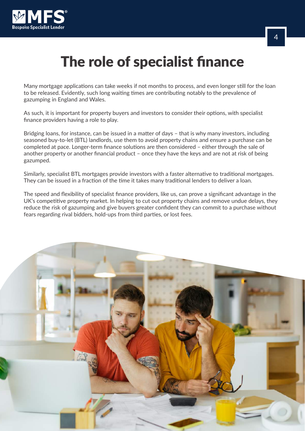

#### The role of specialist finance

Many mortgage applications can take weeks if not months to process, and even longer still for the loan to be released. Evidently, such long waiting times are contributing notably to the prevalence of gazumping in England and Wales.

As such, it is important for property buyers and investors to consider their options, with specialist finance providers having a role to play.

Bridging loans, for instance, can be issued in a matter of days – that is why many investors, including seasoned buy-to-let (BTL) landlords, use them to avoid property chains and ensure a purchase can be completed at pace. Longer-term finance solutions are then considered – either through the sale of another property or another financial product – once they have the keys and are not at risk of being gazumped.

Similarly, specialist BTL mortgages provide investors with a faster alternative to traditional mortgages. They can be issued in a fraction of the time it takes many traditional lenders to deliver a loan.

The speed and flexibility of specialist finance providers, like us, can prove a significant advantage in the UK's competitive property market. In helping to cut out property chains and remove undue delays, they reduce the risk of gazumping and give buyers greater confident they can commit to a purchase without fears regarding rival bidders, hold-ups from third parties, or lost fees.

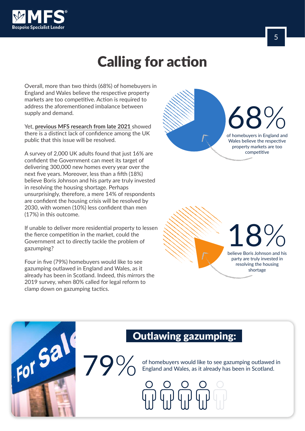

#### Calling for action

Overall, more than two thirds (68%) of homebuyers in England and Wales believe the respective property markets are too competitive. Action is required to address the aforementioned imbalance between supply and demand.

Yet, **previous MFS research from late 2021** showed there is a distinct lack of confidence among the UK public that this issue will be resolved.

A survey of 2,000 UK adults found that just 16% are confident the Government can meet its target of delivering 300,000 new homes every year over the next five years. Moreover, less than a fifth (18%) believe Boris Johnson and his party are truly invested in resolving the housing shortage. Perhaps unsurprisingly, therefore, a mere 14% of respondents are confident the housing crisis will be resolved by 2030, with women (10%) less confident than men (17%) in this outcome.

If unable to deliver more residential property to lessen the fierce competition in the market, could the Government act to directly tackle the problem of gazumping?

Four in five (79%) homebuyers would like to see gazumping outlawed in England and Wales, as it already has been in Scotland. Indeed, this mirrors the 2019 survey, when 80% called for legal reform to clamp down on gazumping tactics.

For Sal

79 $\%$ 



18 believe Boris Johnson and his % party are truly invested in resolving the housing

shortage

#### Outlawing gazumping:

of homebuyers would like to see gazumping outlawed in England and Wales, as it already has been in Scotland.



5